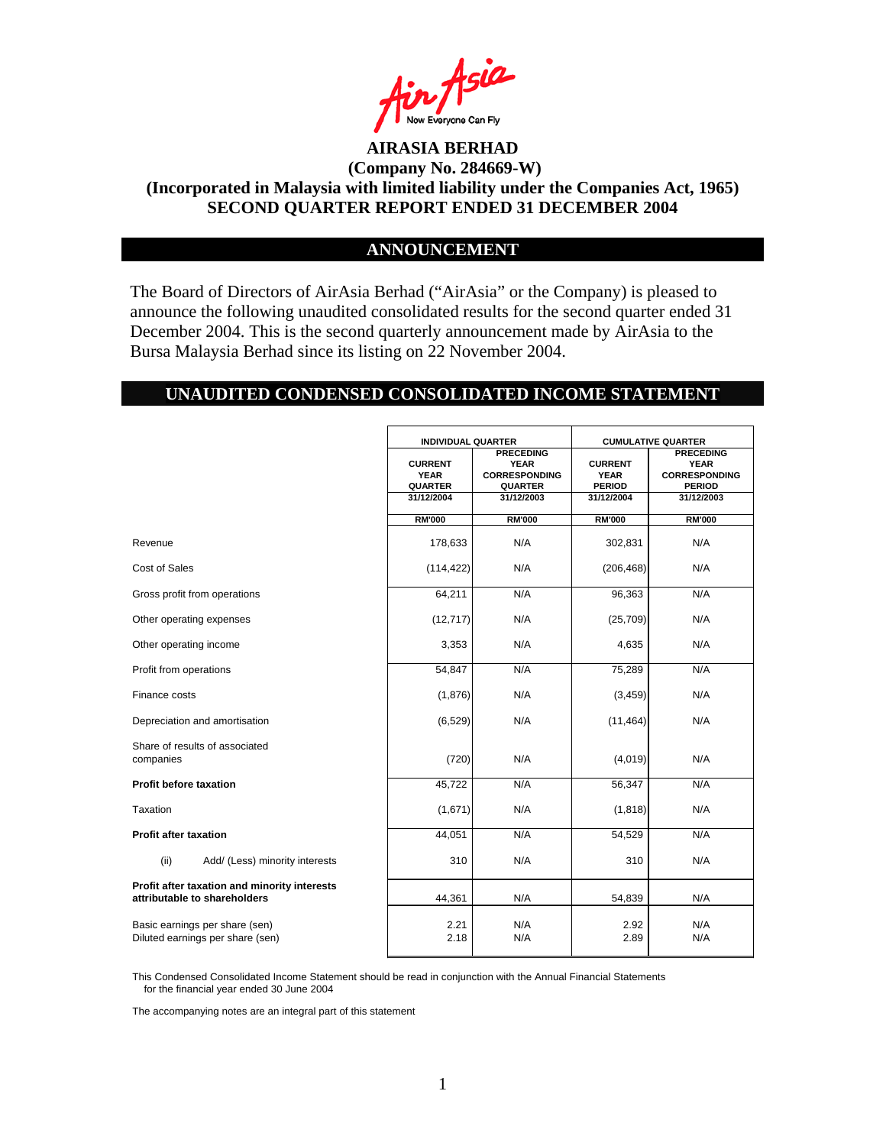

#### **ANNOUNCEMENT**

The Board of Directors of AirAsia Berhad ("AirAsia" or the Company) is pleased to announce the following unaudited consolidated results for the second quarter ended 31 December 2004. This is the second quarterly announcement made by AirAsia to the Bursa Malaysia Berhad since its listing on 22 November 2004.

# **UNAUDITED CONDENSED CONSOLIDATED INCOME STATEMENT**

|                                                                              | <b>INDIVIDUAL QUARTER</b>                       |                                                                           | <b>CUMULATIVE QUARTER</b>                      |                                                                          |
|------------------------------------------------------------------------------|-------------------------------------------------|---------------------------------------------------------------------------|------------------------------------------------|--------------------------------------------------------------------------|
|                                                                              | <b>CURRENT</b><br><b>YEAR</b><br><b>QUARTER</b> | <b>PRECEDING</b><br><b>YEAR</b><br><b>CORRESPONDING</b><br><b>QUARTER</b> | <b>CURRENT</b><br><b>YEAR</b><br><b>PERIOD</b> | <b>PRECEDING</b><br><b>YEAR</b><br><b>CORRESPONDING</b><br><b>PERIOD</b> |
|                                                                              | 31/12/2004                                      | 31/12/2003                                                                | 31/12/2004                                     | 31/12/2003                                                               |
|                                                                              |                                                 |                                                                           |                                                |                                                                          |
|                                                                              | <b>RM'000</b>                                   | <b>RM'000</b>                                                             | <b>RM'000</b>                                  | <b>RM'000</b>                                                            |
| Revenue                                                                      | 178,633                                         | N/A                                                                       | 302,831                                        | N/A                                                                      |
| Cost of Sales                                                                | (114, 422)                                      | N/A                                                                       | (206, 468)                                     | N/A                                                                      |
| Gross profit from operations                                                 | 64,211                                          | N/A                                                                       | 96,363                                         | N/A                                                                      |
| Other operating expenses                                                     | (12, 717)                                       | N/A                                                                       | (25, 709)                                      | N/A                                                                      |
| Other operating income                                                       | 3,353                                           | N/A                                                                       | 4,635                                          | N/A                                                                      |
| Profit from operations                                                       | 54,847                                          | N/A                                                                       | 75,289                                         | N/A                                                                      |
| Finance costs                                                                | (1,876)                                         | N/A                                                                       | (3, 459)                                       | N/A                                                                      |
| Depreciation and amortisation                                                | (6, 529)                                        | N/A                                                                       | (11, 464)                                      | N/A                                                                      |
| Share of results of associated<br>companies                                  | (720)                                           | N/A                                                                       | (4,019)                                        | N/A                                                                      |
| Profit before taxation                                                       | 45,722                                          | N/A                                                                       | 56,347                                         | N/A                                                                      |
| Taxation                                                                     | (1,671)                                         | N/A                                                                       | (1, 818)                                       | N/A                                                                      |
| <b>Profit after taxation</b>                                                 | 44,051                                          | N/A                                                                       | 54,529                                         | N/A                                                                      |
| (ii)<br>Add/ (Less) minority interests                                       | 310                                             | N/A                                                                       | 310                                            | N/A                                                                      |
| Profit after taxation and minority interests<br>attributable to shareholders | 44,361                                          | N/A                                                                       | 54,839                                         | N/A                                                                      |
| Basic earnings per share (sen)<br>Diluted earnings per share (sen)           | 2.21<br>2.18                                    | N/A<br>N/A                                                                | 2.92<br>2.89                                   | N/A<br>N/A                                                               |

This Condensed Consolidated Income Statement should be read in conjunction with the Annual Financial Statements for the financial year ended 30 June 2004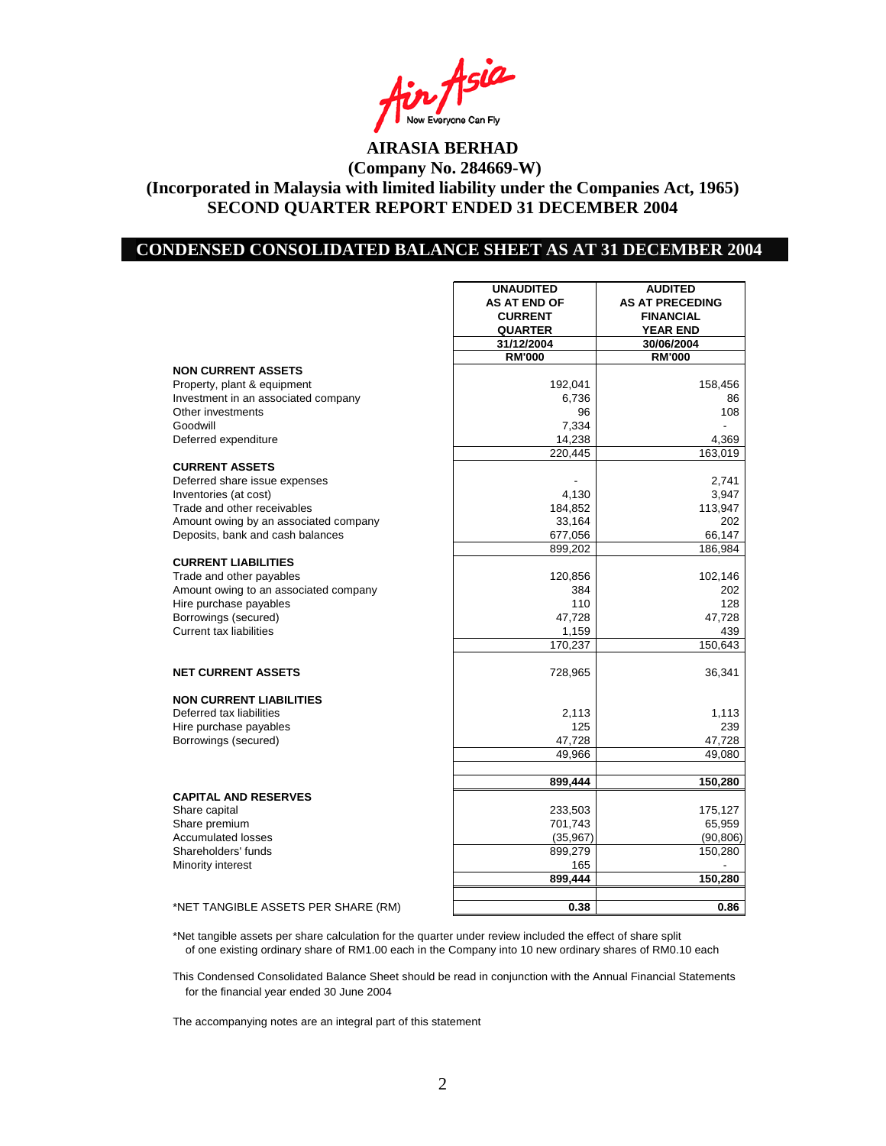in Asia

#### **CONDENSED CONSOLIDATED BALANCE SHEET AS AT 31 DECEMBER 2004**

|                                       | <b>UNAUDITED</b>    | <b>AUDITED</b>         |
|---------------------------------------|---------------------|------------------------|
|                                       | <b>AS AT END OF</b> | <b>AS AT PRECEDING</b> |
|                                       | <b>CURRENT</b>      | <b>FINANCIAL</b>       |
|                                       | <b>QUARTER</b>      | <b>YEAR END</b>        |
|                                       | 31/12/2004          | 30/06/2004             |
|                                       | <b>RM'000</b>       | <b>RM'000</b>          |
| <b>NON CURRENT ASSETS</b>             |                     |                        |
| Property, plant & equipment           | 192,041             | 158,456                |
| Investment in an associated company   | 6,736               | 86                     |
|                                       |                     |                        |
| Other investments                     | 96                  | 108                    |
| Goodwill                              | 7,334               |                        |
| Deferred expenditure                  | 14,238              | 4,369                  |
|                                       | 220,445             | 163,019                |
| <b>CURRENT ASSETS</b>                 |                     |                        |
| Deferred share issue expenses         |                     | 2.741                  |
| Inventories (at cost)                 | 4,130               | 3,947                  |
| Trade and other receivables           | 184,852             | 113,947                |
| Amount owing by an associated company | 33,164              | 202                    |
| Deposits, bank and cash balances      | 677,056             | 66,147                 |
|                                       | 899,202             | 186,984                |
| <b>CURRENT LIABILITIES</b>            |                     |                        |
| Trade and other payables              | 120,856             | 102,146                |
| Amount owing to an associated company | 384                 | 202                    |
| Hire purchase payables                | 110                 | 128                    |
| Borrowings (secured)                  | 47,728              | 47,728                 |
| <b>Current tax liabilities</b>        | 1,159               | 439                    |
|                                       | 170,237             | 150,643                |
|                                       |                     |                        |
| <b>NET CURRENT ASSETS</b>             | 728,965             | 36,341                 |
|                                       |                     |                        |
| <b>NON CURRENT LIABILITIES</b>        |                     |                        |
| Deferred tax liabilities              | 2,113               | 1,113                  |
| Hire purchase payables                | 125                 | 239                    |
| Borrowings (secured)                  | 47,728              | 47,728                 |
|                                       | 49,966              | 49.080                 |
|                                       |                     |                        |
|                                       | 899,444             | 150,280                |
| <b>CAPITAL AND RESERVES</b>           |                     |                        |
|                                       |                     |                        |
| Share capital                         | 233,503             | 175,127                |
| Share premium                         | 701,743             | 65,959                 |
| <b>Accumulated losses</b>             | (35, 967)           | (90, 806)              |
| Shareholders' funds                   | 899,279             | 150,280                |
| Minority interest                     | 165                 |                        |
|                                       | 899,444             | 150,280                |
|                                       |                     |                        |
| *NET TANGIBLE ASSETS PER SHARE (RM)   | 0.38                | 0.86                   |

\*Net tangible assets per share calculation for the quarter under review included the effect of share split of one existing ordinary share of RM1.00 each in the Company into 10 new ordinary shares of RM0.10 each

This Condensed Consolidated Balance Sheet should be read in conjunction with the Annual Financial Statements for the financial year ended 30 June 2004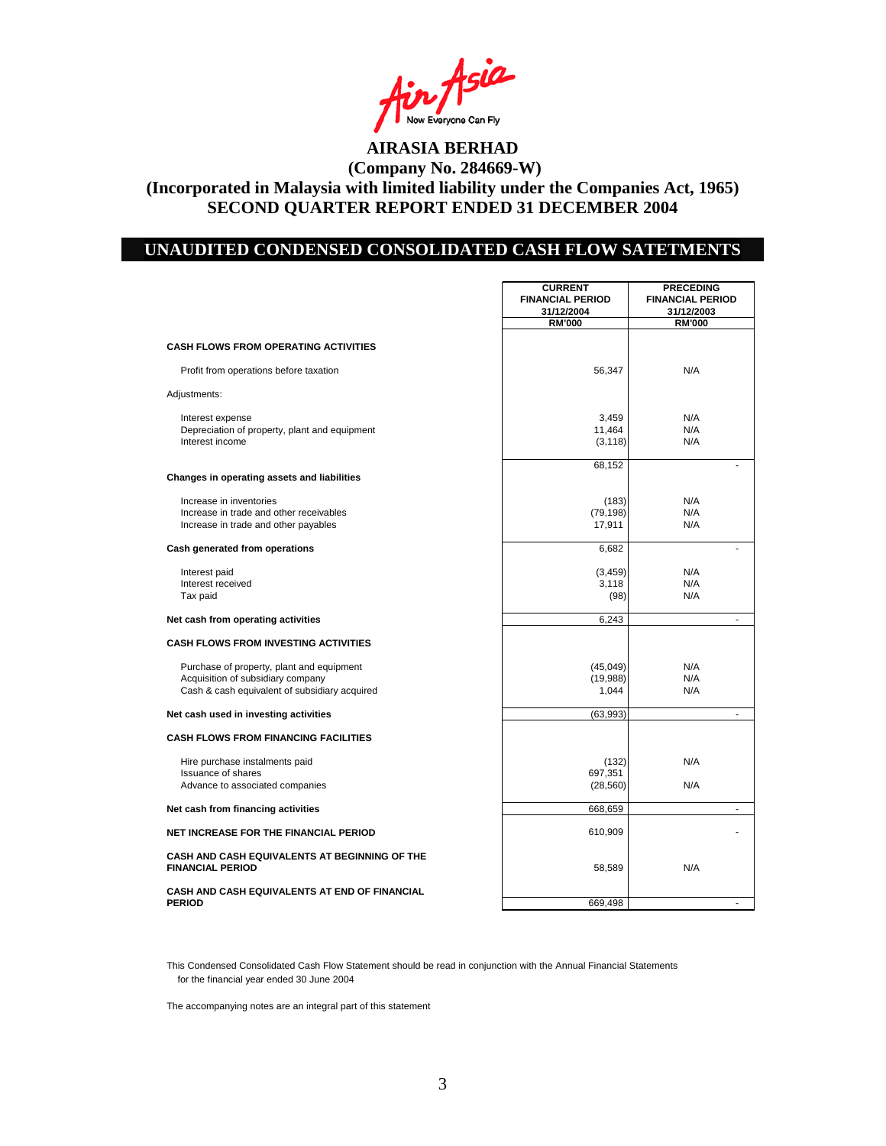Air Asia

### **UNAUDITED CONDENSED CONSOLIDATED CASH FLOW SATETMENTS**

|                                                                                                            | <b>CURRENT</b><br><b>FINANCIAL PERIOD</b> | <b>PRECEDING</b><br><b>FINANCIAL PERIOD</b> |
|------------------------------------------------------------------------------------------------------------|-------------------------------------------|---------------------------------------------|
|                                                                                                            | 31/12/2004                                | 31/12/2003                                  |
|                                                                                                            | <b>RM'000</b>                             | <b>RM'000</b>                               |
| <b>CASH FLOWS FROM OPERATING ACTIVITIES</b>                                                                |                                           |                                             |
| Profit from operations before taxation                                                                     | 56,347                                    | N/A                                         |
| Adjustments:                                                                                               |                                           |                                             |
| Interest expense<br>Depreciation of property, plant and equipment<br>Interest income                       | 3,459<br>11,464<br>(3, 118)               | N/A<br>N/A<br>N/A                           |
| Changes in operating assets and liabilities                                                                | 68,152                                    |                                             |
| Increase in inventories<br>Increase in trade and other receivables<br>Increase in trade and other payables | (183)<br>(79, 198)<br>17,911              | N/A<br>N/A<br>N/A                           |
| Cash generated from operations                                                                             | 6,682                                     |                                             |
| Interest paid                                                                                              | (3, 459)                                  | N/A                                         |
| Interest received                                                                                          | 3,118                                     | N/A                                         |
| Tax paid                                                                                                   | (98)                                      | N/A                                         |
| Net cash from operating activities                                                                         | 6,243                                     | ä,                                          |
| <b>CASH FLOWS FROM INVESTING ACTIVITIES</b>                                                                |                                           |                                             |
| Purchase of property, plant and equipment                                                                  | (45,049)                                  | N/A                                         |
| Acquisition of subsidiary company                                                                          | (19,988)                                  | N/A                                         |
| Cash & cash equivalent of subsidiary acquired                                                              | 1,044                                     | N/A                                         |
| Net cash used in investing activities                                                                      | (63,993)                                  | ä,                                          |
| <b>CASH FLOWS FROM FINANCING FACILITIES</b>                                                                |                                           |                                             |
| Hire purchase instalments paid                                                                             | (132)                                     | N/A                                         |
| Issuance of shares                                                                                         | 697,351                                   |                                             |
| Advance to associated companies                                                                            | (28, 560)                                 | N/A                                         |
| Net cash from financing activities                                                                         | 668,659                                   |                                             |
| <b>NET INCREASE FOR THE FINANCIAL PERIOD</b>                                                               | 610,909                                   |                                             |
| CASH AND CASH EQUIVALENTS AT BEGINNING OF THE<br><b>FINANCIAL PERIOD</b>                                   | 58,589                                    | N/A                                         |
| CASH AND CASH EQUIVALENTS AT END OF FINANCIAL                                                              |                                           |                                             |
| <b>PERIOD</b>                                                                                              | 669,498                                   | ä,                                          |

This Condensed Consolidated Cash Flow Statement should be read in conjunction with the Annual Financial Statements for the financial year ended 30 June 2004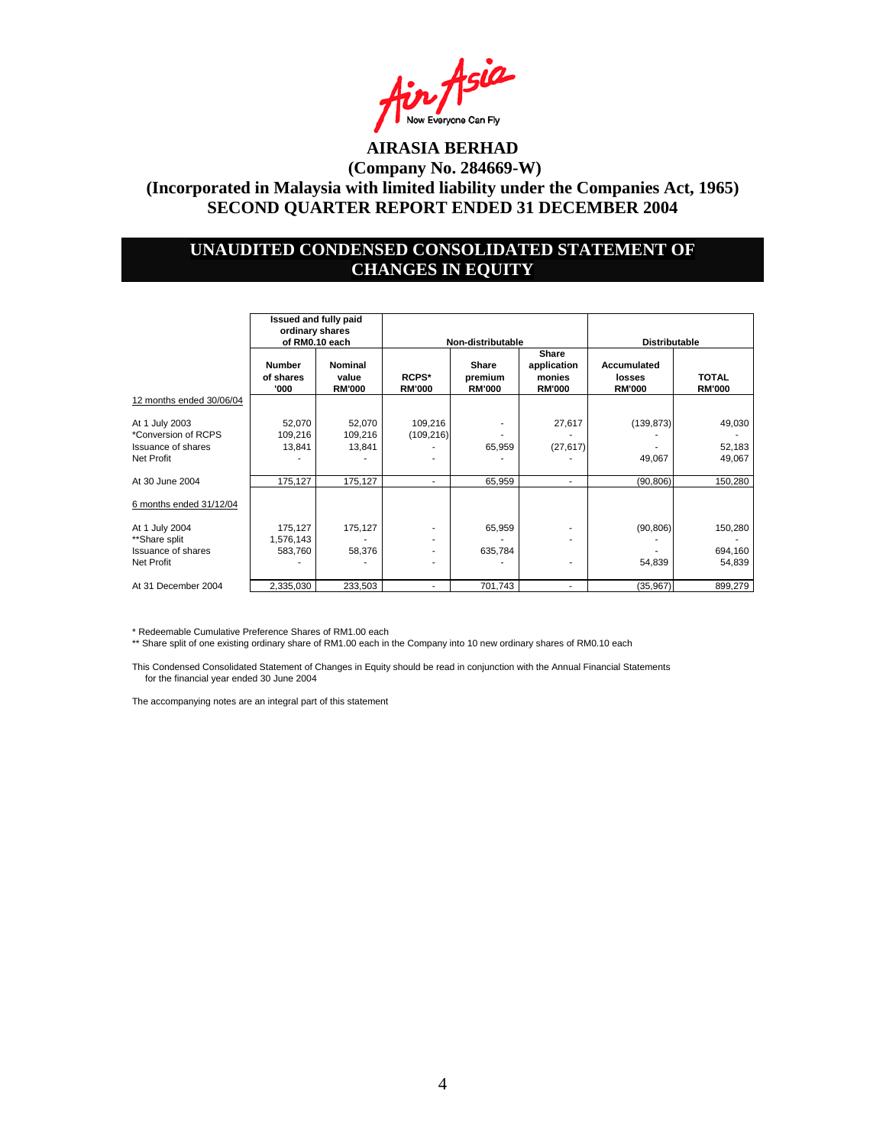

#### **UNAUDITED CONDENSED CONSOLIDATED STATEMENT OF CHANGES IN EQUITY**

|                                       | Issued and fully paid              |                                   |                          |                                   |                                                        |                                        |                               |
|---------------------------------------|------------------------------------|-----------------------------------|--------------------------|-----------------------------------|--------------------------------------------------------|----------------------------------------|-------------------------------|
|                                       | ordinary shares                    |                                   |                          |                                   |                                                        |                                        |                               |
|                                       | of RM0.10 each                     |                                   |                          | Non-distributable                 |                                                        | <b>Distributable</b>                   |                               |
|                                       | <b>Number</b><br>of shares<br>'000 | Nominal<br>value<br><b>RM'000</b> | RCPS*<br><b>RM'000</b>   | Share<br>premium<br><b>RM'000</b> | <b>Share</b><br>application<br>monies<br><b>RM'000</b> | Accumulated<br>losses<br><b>RM'000</b> | <b>TOTAL</b><br><b>RM'000</b> |
| 12 months ended 30/06/04              |                                    |                                   |                          |                                   |                                                        |                                        |                               |
| At 1 July 2003<br>*Conversion of RCPS | 52,070<br>109,216                  | 52,070<br>109,216                 | 109,216<br>(109, 216)    |                                   | 27,617                                                 | (139, 873)                             | 49,030                        |
| <b>Issuance of shares</b>             | 13,841                             | 13,841                            |                          | 65,959                            | (27, 617)                                              |                                        | 52,183                        |
| Net Profit                            |                                    |                                   |                          |                                   |                                                        | 49,067                                 | 49,067                        |
| At 30 June 2004                       | 175,127                            | 175,127                           | $\overline{\phantom{a}}$ | 65,959                            | $\overline{\phantom{a}}$                               | (90, 806)                              | 150,280                       |
| 6 months ended 31/12/04               |                                    |                                   |                          |                                   |                                                        |                                        |                               |
| At 1 July 2004                        | 175,127                            | 175,127                           |                          | 65,959                            |                                                        | (90, 806)                              | 150,280                       |
| **Share split                         | 1,576,143                          |                                   |                          |                                   |                                                        |                                        |                               |
| <b>Issuance of shares</b>             | 583,760                            | 58,376                            |                          | 635,784                           |                                                        |                                        | 694,160                       |
| Net Profit                            |                                    |                                   |                          |                                   |                                                        | 54,839                                 | 54,839                        |
| At 31 December 2004                   | 2,335,030                          | 233,503                           | ٠                        | 701,743                           |                                                        | (35, 967)                              | 899,279                       |

\* Redeemable Cumulative Preference Shares of RM1.00 each \*\* Share split of one existing ordinary share of RM1.00 each in the Company into 10 new ordinary shares of RM0.10 each

This Condensed Consolidated Statement of Changes in Equity should be read in conjunction with the Annual Financial Statements for the financial year ended 30 June 2004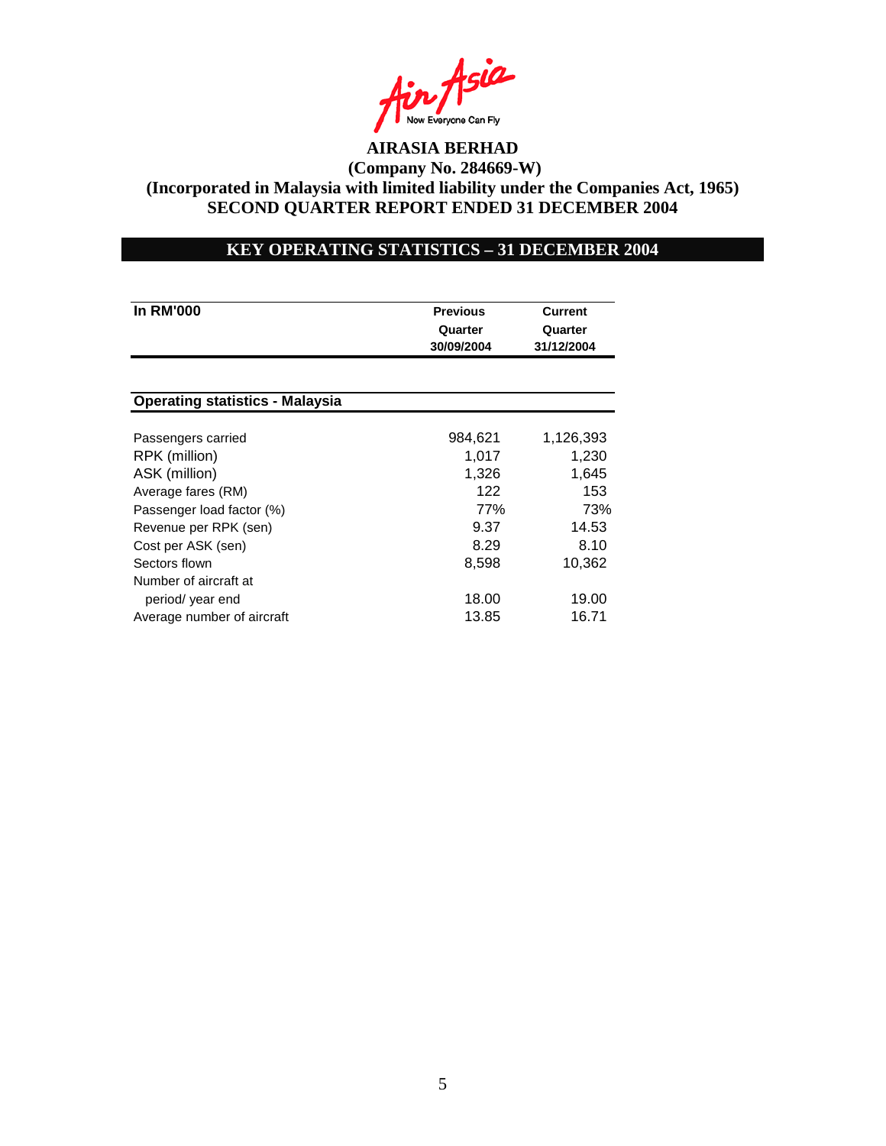

# **KEY OPERATING STATISTICS – 31 DECEMBER 2004**

| <b>In RM'000</b>                       | <b>Previous</b>       | <b>Current</b>        |
|----------------------------------------|-----------------------|-----------------------|
|                                        |                       |                       |
|                                        | Quarter<br>30/09/2004 | Quarter<br>31/12/2004 |
|                                        |                       |                       |
| <b>Operating statistics - Malaysia</b> |                       |                       |
| Passengers carried                     | 984,621               | 1,126,393             |
| RPK (million)                          | 1,017                 | 1,230                 |
| ASK (million)                          | 1,326                 | 1,645                 |
| Average fares (RM)                     | 122                   | 153                   |
| Passenger load factor (%)              | 77%                   | 73%                   |
| Revenue per RPK (sen)                  | 9.37                  | 14.53                 |
| Cost per ASK (sen)                     | 8.29                  | 8.10                  |
| Sectors flown                          | 8,598                 | 10,362                |
| Number of aircraft at                  |                       |                       |
| period/ year end                       | 18.00                 | 19.00                 |
| Average number of aircraft             | 13.85                 | 16.71                 |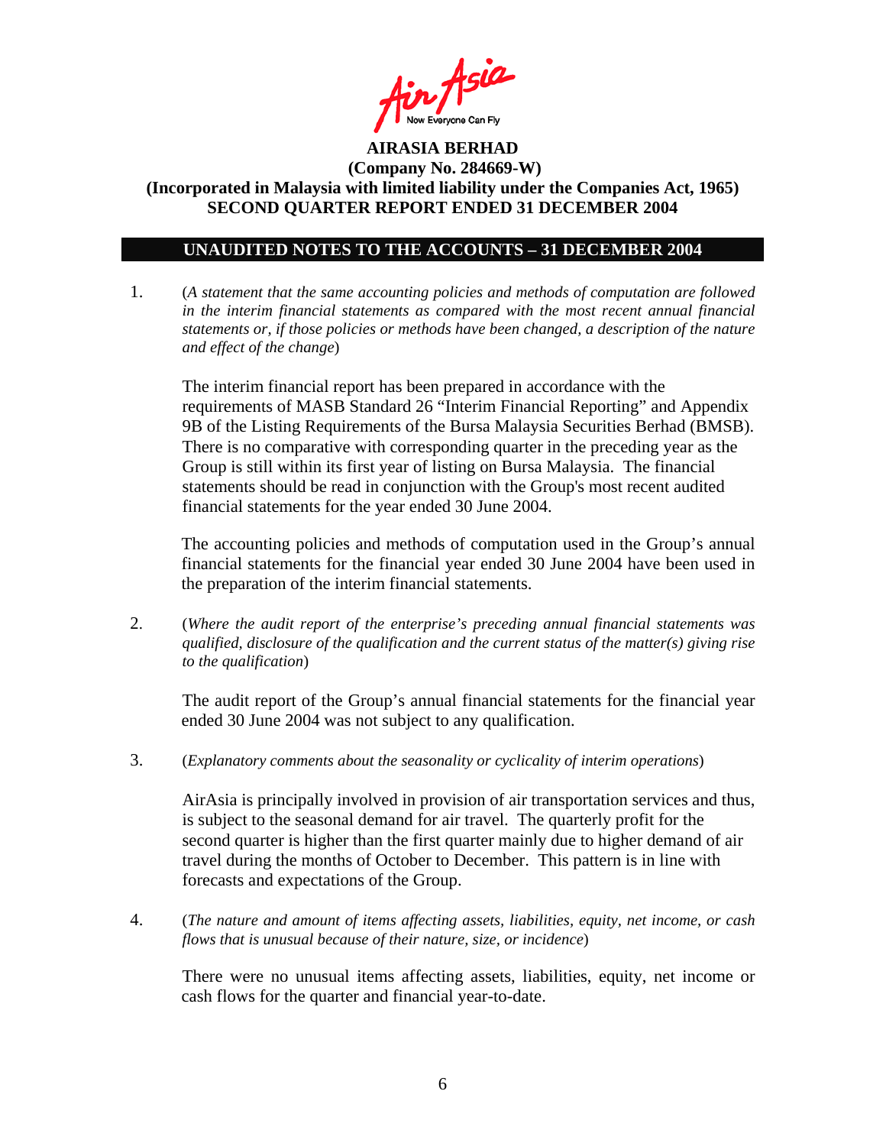

### **UNAUDITED NOTES TO THE ACCOUNTS – 31 DECEMBER 2004**

1. (*A statement that the same accounting policies and methods of computation are followed in the interim financial statements as compared with the most recent annual financial statements or, if those policies or methods have been changed, a description of the nature and effect of the change*)

The interim financial report has been prepared in accordance with the requirements of MASB Standard 26 "Interim Financial Reporting" and Appendix 9B of the Listing Requirements of the Bursa Malaysia Securities Berhad (BMSB). There is no comparative with corresponding quarter in the preceding year as the Group is still within its first year of listing on Bursa Malaysia. The financial statements should be read in conjunction with the Group's most recent audited financial statements for the year ended 30 June 2004.

The accounting policies and methods of computation used in the Group's annual financial statements for the financial year ended 30 June 2004 have been used in the preparation of the interim financial statements.

2. (*Where the audit report of the enterprise's preceding annual financial statements was qualified, disclosure of the qualification and the current status of the matter(s) giving rise to the qualification*)

The audit report of the Group's annual financial statements for the financial year ended 30 June 2004 was not subject to any qualification.

3. (*Explanatory comments about the seasonality or cyclicality of interim operations*)

AirAsia is principally involved in provision of air transportation services and thus, is subject to the seasonal demand for air travel. The quarterly profit for the second quarter is higher than the first quarter mainly due to higher demand of air travel during the months of October to December. This pattern is in line with forecasts and expectations of the Group.

4. (*The nature and amount of items affecting assets, liabilities, equity, net income, or cash flows that is unusual because of their nature, size, or incidence*)

 There were no unusual items affecting assets, liabilities, equity, net income or cash flows for the quarter and financial year-to-date.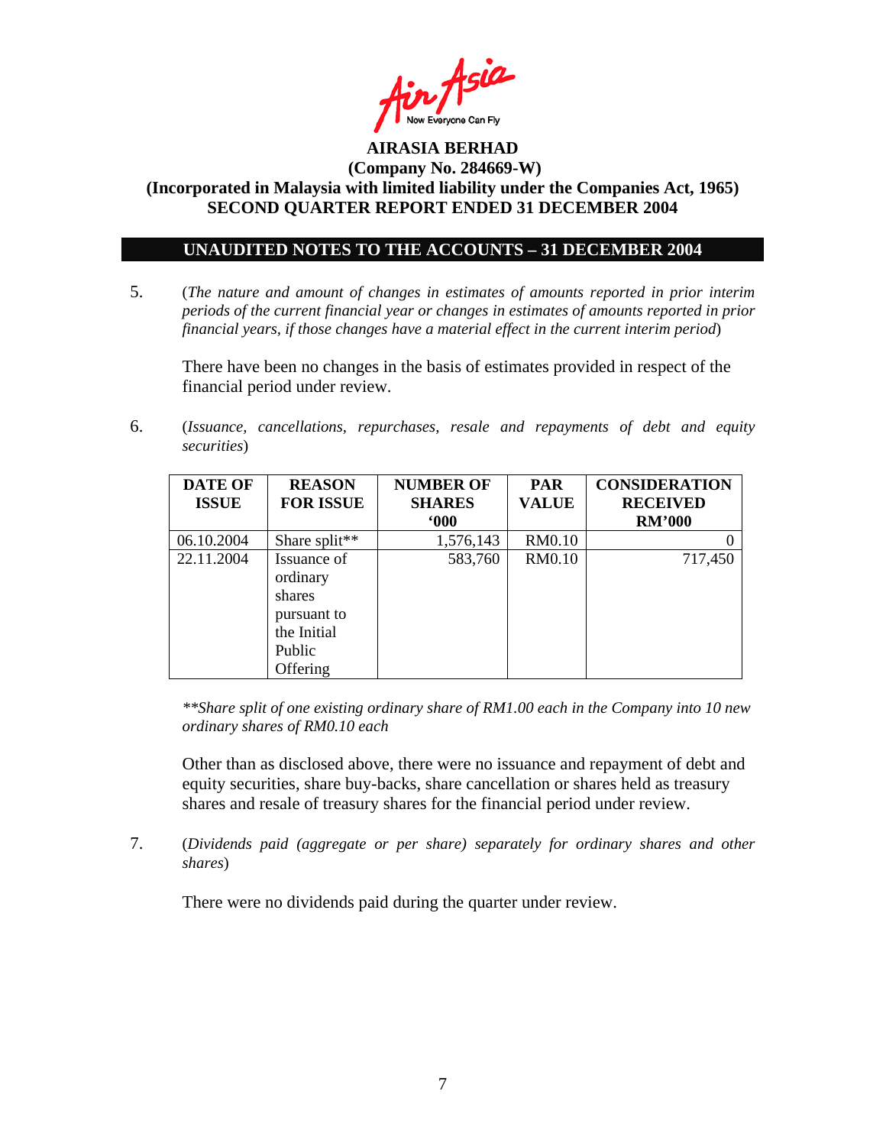

### **UNAUDITED NOTES TO THE ACCOUNTS – 31 DECEMBER 2004**

5. (*The nature and amount of changes in estimates of amounts reported in prior interim periods of the current financial year or changes in estimates of amounts reported in prior financial years, if those changes have a material effect in the current interim period*)

There have been no changes in the basis of estimates provided in respect of the financial period under review.

6. (*Issuance, cancellations, repurchases, resale and repayments of debt and equity securities*)

| <b>DATE OF</b> | <b>REASON</b>    | <b>NUMBER OF</b> | <b>PAR</b>    | <b>CONSIDERATION</b> |
|----------------|------------------|------------------|---------------|----------------------|
| <b>ISSUE</b>   | <b>FOR ISSUE</b> | <b>SHARES</b>    | <b>VALUE</b>  | <b>RECEIVED</b>      |
|                |                  | 600              |               | <b>RM'000</b>        |
| 06.10.2004     | Share split**    | 1,576,143        | <b>RM0.10</b> |                      |
| 22.11.2004     | Issuance of      | 583,760          | <b>RM0.10</b> | 717,450              |
|                | ordinary         |                  |               |                      |
|                | shares           |                  |               |                      |
|                | pursuant to      |                  |               |                      |
|                | the Initial      |                  |               |                      |
|                | Public           |                  |               |                      |
|                | Offering         |                  |               |                      |

*\*\*Share split of one existing ordinary share of RM1.00 each in the Company into 10 new ordinary shares of RM0.10 each* 

Other than as disclosed above, there were no issuance and repayment of debt and equity securities, share buy-backs, share cancellation or shares held as treasury shares and resale of treasury shares for the financial period under review.

7. (*Dividends paid (aggregate or per share) separately for ordinary shares and other shares*)

There were no dividends paid during the quarter under review.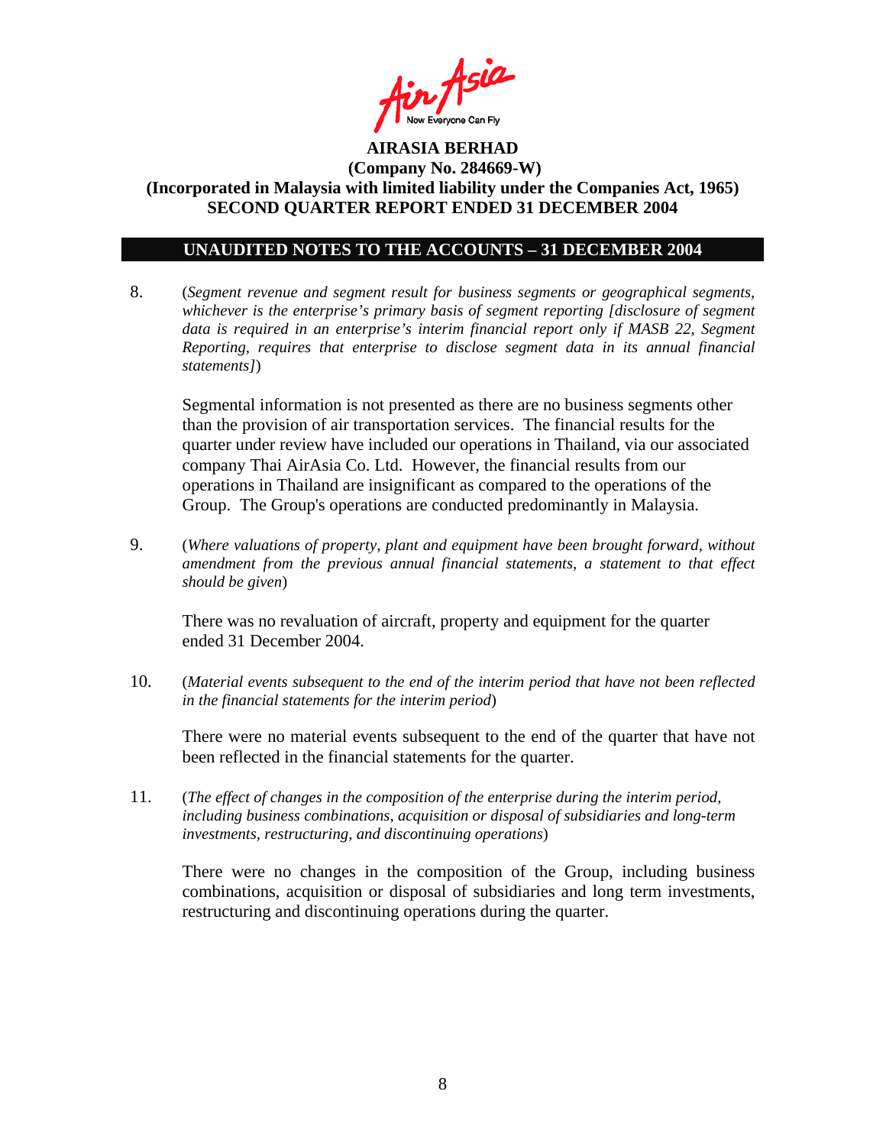

### **UNAUDITED NOTES TO THE ACCOUNTS – 31 DECEMBER 2004**

8. (*Segment revenue and segment result for business segments or geographical segments, whichever is the enterprise's primary basis of segment reporting [disclosure of segment data is required in an enterprise's interim financial report only if MASB 22, Segment Reporting, requires that enterprise to disclose segment data in its annual financial statements]*)

Segmental information is not presented as there are no business segments other than the provision of air transportation services. The financial results for the quarter under review have included our operations in Thailand, via our associated company Thai AirAsia Co. Ltd. However, the financial results from our operations in Thailand are insignificant as compared to the operations of the Group. The Group's operations are conducted predominantly in Malaysia.

9. (*Where valuations of property, plant and equipment have been brought forward, without amendment from the previous annual financial statements, a statement to that effect should be given*)

 There was no revaluation of aircraft, property and equipment for the quarter ended 31 December 2004.

10. (*Material events subsequent to the end of the interim period that have not been reflected in the financial statements for the interim period*)

There were no material events subsequent to the end of the quarter that have not been reflected in the financial statements for the quarter.

11. (*The effect of changes in the composition of the enterprise during the interim period, including business combinations, acquisition or disposal of subsidiaries and long-term investments, restructuring, and discontinuing operations*)

There were no changes in the composition of the Group, including business combinations, acquisition or disposal of subsidiaries and long term investments, restructuring and discontinuing operations during the quarter.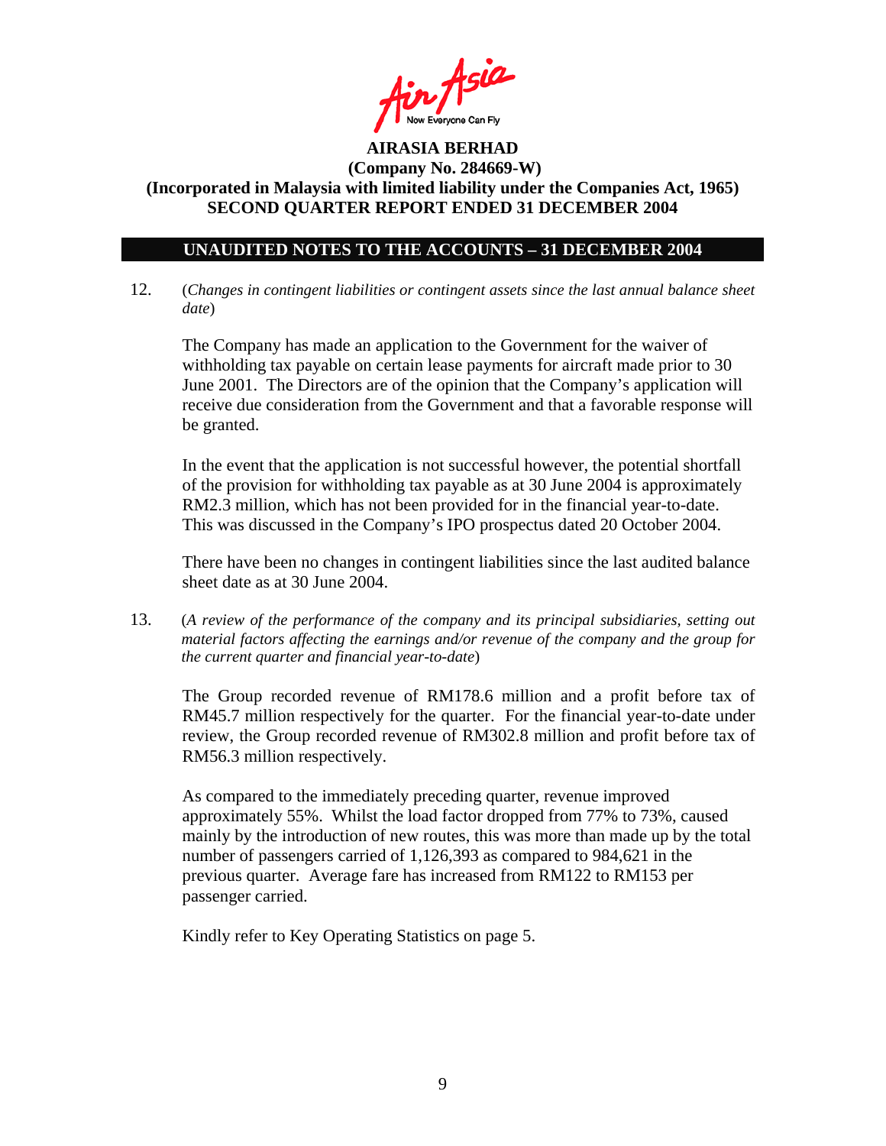

#### **UNAUDITED NOTES TO THE ACCOUNTS – 31 DECEMBER 2004**

12. (*Changes in contingent liabilities or contingent assets since the last annual balance sheet date*)

The Company has made an application to the Government for the waiver of withholding tax payable on certain lease payments for aircraft made prior to 30 June 2001. The Directors are of the opinion that the Company's application will receive due consideration from the Government and that a favorable response will be granted.

In the event that the application is not successful however, the potential shortfall of the provision for withholding tax payable as at 30 June 2004 is approximately RM2.3 million, which has not been provided for in the financial year-to-date. This was discussed in the Company's IPO prospectus dated 20 October 2004.

There have been no changes in contingent liabilities since the last audited balance sheet date as at 30 June 2004.

13. (*A review of the performance of the company and its principal subsidiaries, setting out material factors affecting the earnings and/or revenue of the company and the group for the current quarter and financial year-to-date*)

The Group recorded revenue of RM178.6 million and a profit before tax of RM45.7 million respectively for the quarter. For the financial year-to-date under review, the Group recorded revenue of RM302.8 million and profit before tax of RM56.3 million respectively.

As compared to the immediately preceding quarter, revenue improved approximately 55%. Whilst the load factor dropped from 77% to 73%, caused mainly by the introduction of new routes, this was more than made up by the total number of passengers carried of 1,126,393 as compared to 984,621 in the previous quarter. Average fare has increased from RM122 to RM153 per passenger carried.

Kindly refer to Key Operating Statistics on page 5.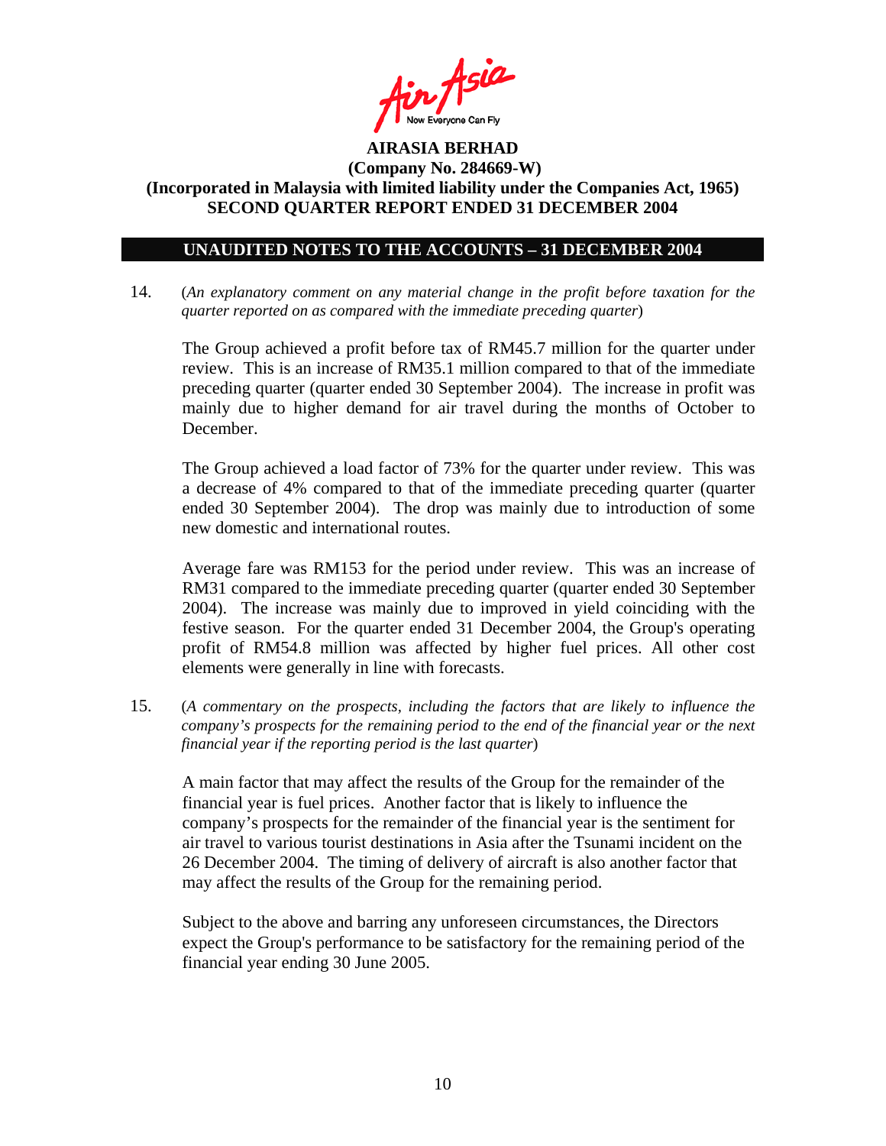

### **UNAUDITED NOTES TO THE ACCOUNTS – 31 DECEMBER 2004**

14. (*An explanatory comment on any material change in the profit before taxation for the quarter reported on as compared with the immediate preceding quarter*)

The Group achieved a profit before tax of RM45.7 million for the quarter under review. This is an increase of RM35.1 million compared to that of the immediate preceding quarter (quarter ended 30 September 2004). The increase in profit was mainly due to higher demand for air travel during the months of October to December.

The Group achieved a load factor of 73% for the quarter under review. This was a decrease of 4% compared to that of the immediate preceding quarter (quarter ended 30 September 2004). The drop was mainly due to introduction of some new domestic and international routes.

Average fare was RM153 for the period under review. This was an increase of RM31 compared to the immediate preceding quarter (quarter ended 30 September 2004). The increase was mainly due to improved in yield coinciding with the festive season. For the quarter ended 31 December 2004, the Group's operating profit of RM54.8 million was affected by higher fuel prices. All other cost elements were generally in line with forecasts.

15. (*A commentary on the prospects, including the factors that are likely to influence the company's prospects for the remaining period to the end of the financial year or the next financial year if the reporting period is the last quarter*)

 A main factor that may affect the results of the Group for the remainder of the financial year is fuel prices. Another factor that is likely to influence the company's prospects for the remainder of the financial year is the sentiment for air travel to various tourist destinations in Asia after the Tsunami incident on the 26 December 2004. The timing of delivery of aircraft is also another factor that may affect the results of the Group for the remaining period.

Subject to the above and barring any unforeseen circumstances, the Directors expect the Group's performance to be satisfactory for the remaining period of the financial year ending 30 June 2005.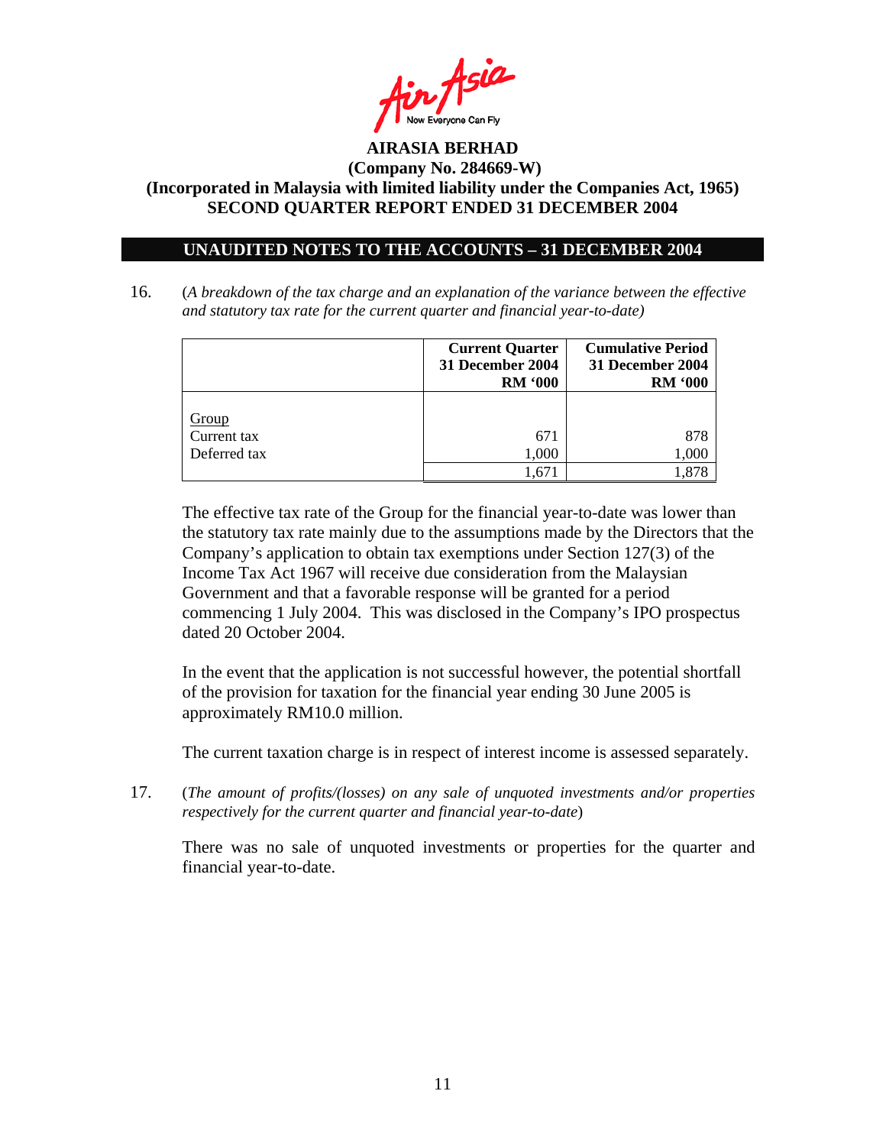

#### **UNAUDITED NOTES TO THE ACCOUNTS – 31 DECEMBER 2004**

16. (*A breakdown of the tax charge and an explanation of the variance between the effective and statutory tax rate for the current quarter and financial year-to-date)*

|                                      | <b>Current Quarter</b><br><b>31 December 2004</b><br><b>RM '000</b> | <b>Cumulative Period</b><br>31 December 2004<br><b>RM '000</b> |
|--------------------------------------|---------------------------------------------------------------------|----------------------------------------------------------------|
| Group<br>Current tax<br>Deferred tax | 671<br>1,000<br>1,67                                                | 878<br>$1,\!000$                                               |

The effective tax rate of the Group for the financial year-to-date was lower than the statutory tax rate mainly due to the assumptions made by the Directors that the Company's application to obtain tax exemptions under Section 127(3) of the Income Tax Act 1967 will receive due consideration from the Malaysian Government and that a favorable response will be granted for a period commencing 1 July 2004. This was disclosed in the Company's IPO prospectus dated 20 October 2004.

In the event that the application is not successful however, the potential shortfall of the provision for taxation for the financial year ending 30 June 2005 is approximately RM10.0 million.

The current taxation charge is in respect of interest income is assessed separately.

17. (*The amount of profits/(losses) on any sale of unquoted investments and/or properties respectively for the current quarter and financial year-to-date*)

There was no sale of unquoted investments or properties for the quarter and financial year-to-date.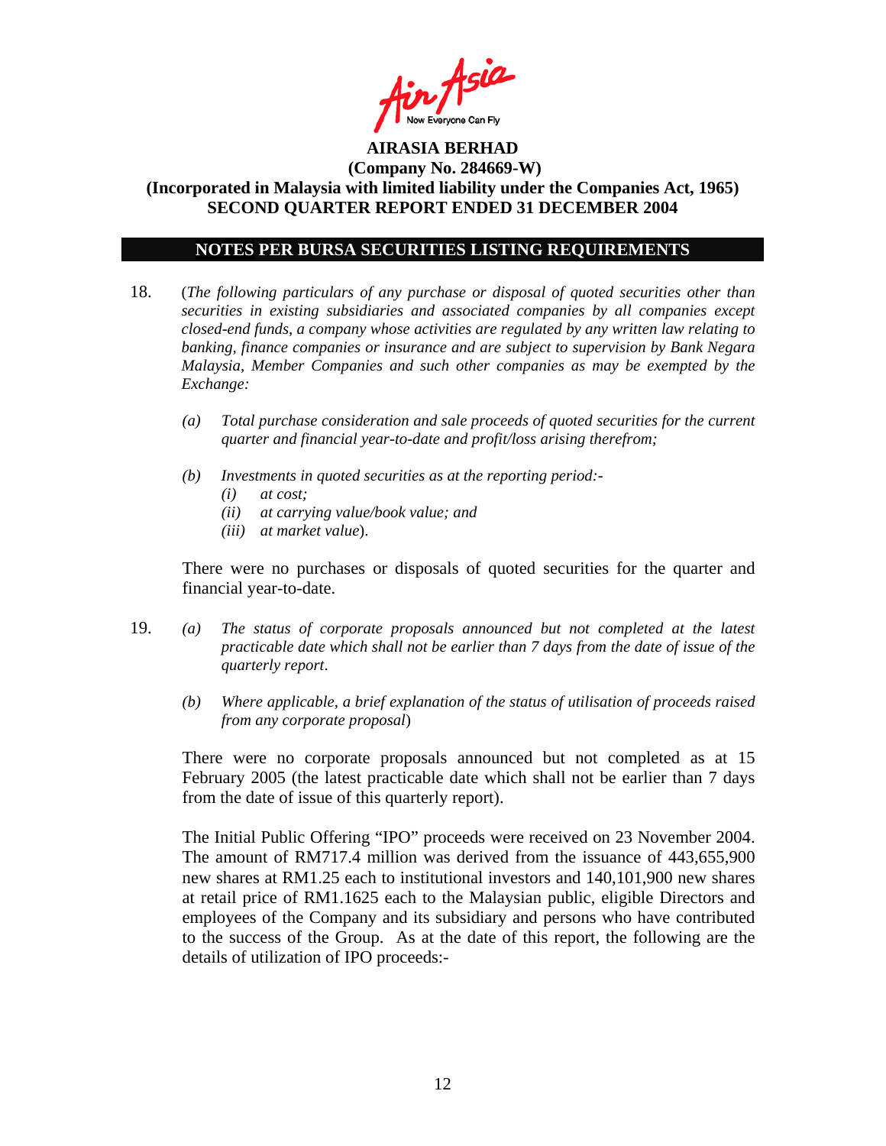

#### **NOTES PER BURSA SECURITIES LISTING REQUIREMENTS**

- 18. (*The following particulars of any purchase or disposal of quoted securities other than securities in existing subsidiaries and associated companies by all companies except closed-end funds, a company whose activities are regulated by any written law relating to banking, finance companies or insurance and are subject to supervision by Bank Negara Malaysia, Member Companies and such other companies as may be exempted by the Exchange:* 
	- *(a) Total purchase consideration and sale proceeds of quoted securities for the current quarter and financial year-to-date and profit/loss arising therefrom;*
	- *(b) Investments in quoted securities as at the reporting period:-* 
		- *(i) at cost;*
		- *(ii) at carrying value/book value; and*
		- *(iii) at market value*).

There were no purchases or disposals of quoted securities for the quarter and financial year-to-date.

- 19. *(a) The status of corporate proposals announced but not completed at the latest practicable date which shall not be earlier than 7 days from the date of issue of the quarterly report*.
	- *(b) Where applicable, a brief explanation of the status of utilisation of proceeds raised from any corporate proposal*)

There were no corporate proposals announced but not completed as at 15 February 2005 (the latest practicable date which shall not be earlier than 7 days from the date of issue of this quarterly report).

 The Initial Public Offering "IPO" proceeds were received on 23 November 2004. The amount of RM717.4 million was derived from the issuance of 443,655,900 new shares at RM1.25 each to institutional investors and 140,101,900 new shares at retail price of RM1.1625 each to the Malaysian public, eligible Directors and employees of the Company and its subsidiary and persons who have contributed to the success of the Group. As at the date of this report, the following are the details of utilization of IPO proceeds:-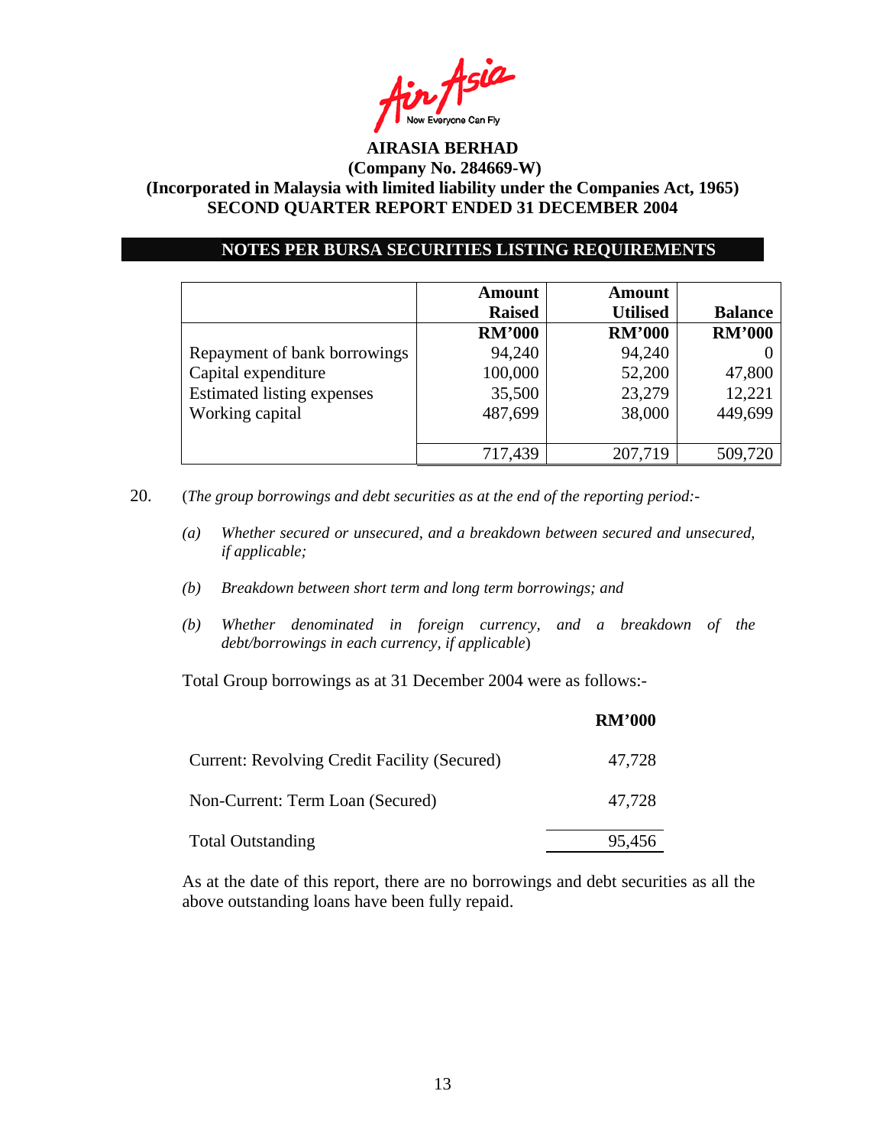

#### **NOTES PER BURSA SECURITIES LISTING REQUIREMENTS**

|                                   | <b>Amount</b><br><b>Raised</b> | <b>Amount</b><br><b>Utilised</b> | <b>Balance</b> |
|-----------------------------------|--------------------------------|----------------------------------|----------------|
|                                   | <b>RM'000</b>                  | <b>RM'000</b>                    | <b>RM'000</b>  |
| Repayment of bank borrowings      | 94,240                         | 94,240                           |                |
| Capital expenditure               | 100,000                        | 52,200                           | 47,800         |
| <b>Estimated listing expenses</b> | 35,500                         | 23,279                           | 12,221         |
| Working capital                   | 487,699                        | 38,000                           | 449,699        |
|                                   |                                |                                  |                |
|                                   | 717,439                        | 207,719                          | 509,720        |

20. (*The group borrowings and debt securities as at the end of the reporting period:-* 

- *(a) Whether secured or unsecured, and a breakdown between secured and unsecured, if applicable;*
- *(b) Breakdown between short term and long term borrowings; and*
- *(b) Whether denominated in foreign currency, and a breakdown of the debt/borrowings in each currency, if applicable*)

Total Group borrowings as at 31 December 2004 were as follows:-

|                                                     | <b>RM'000</b> |
|-----------------------------------------------------|---------------|
| <b>Current: Revolving Credit Facility (Secured)</b> | 47,728        |
| Non-Current: Term Loan (Secured)                    | 47,728        |
| <b>Total Outstanding</b>                            | 95,456        |

As at the date of this report, there are no borrowings and debt securities as all the above outstanding loans have been fully repaid.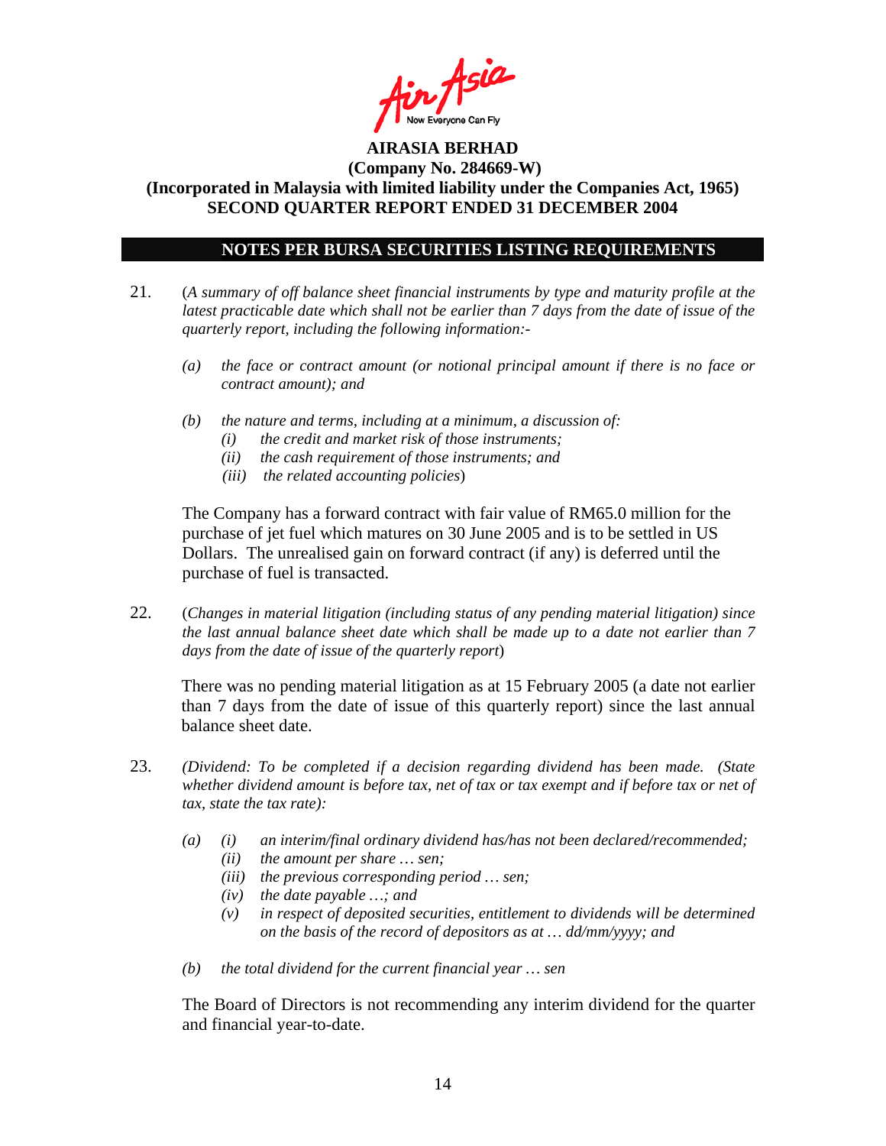

#### **NOTES PER BURSA SECURITIES LISTING REQUIREMENTS**

- 21. (*A summary of off balance sheet financial instruments by type and maturity profile at the latest practicable date which shall not be earlier than 7 days from the date of issue of the quarterly report, including the following information:-* 
	- *(a) the face or contract amount (or notional principal amount if there is no face or contract amount); and*
	- *(b) the nature and terms, including at a minimum, a discussion of:* 
		- *(i) the credit and market risk of those instruments;*
		- *(ii) the cash requirement of those instruments; and*
		- *(iii) the related accounting policies*)

The Company has a forward contract with fair value of RM65.0 million for the purchase of jet fuel which matures on 30 June 2005 and is to be settled in US Dollars. The unrealised gain on forward contract (if any) is deferred until the purchase of fuel is transacted.

22. (*Changes in material litigation (including status of any pending material litigation) since the last annual balance sheet date which shall be made up to a date not earlier than 7 days from the date of issue of the quarterly report*)

There was no pending material litigation as at 15 February 2005 (a date not earlier than 7 days from the date of issue of this quarterly report) since the last annual balance sheet date.

- 23. *(Dividend: To be completed if a decision regarding dividend has been made. (State whether dividend amount is before tax, net of tax or tax exempt and if before tax or net of tax, state the tax rate):*
	- *(a) (i) an interim/final ordinary dividend has/has not been declared/recommended;* 
		- *(ii) the amount per share … sen;*
		- *(iii) the previous corresponding period … sen;*
		- *(iv) the date payable …; and*
		- *(v) in respect of deposited securities, entitlement to dividends will be determined on the basis of the record of depositors as at … dd/mm/yyyy; and*
	- *(b) the total dividend for the current financial year … sen*

The Board of Directors is not recommending any interim dividend for the quarter and financial year-to-date.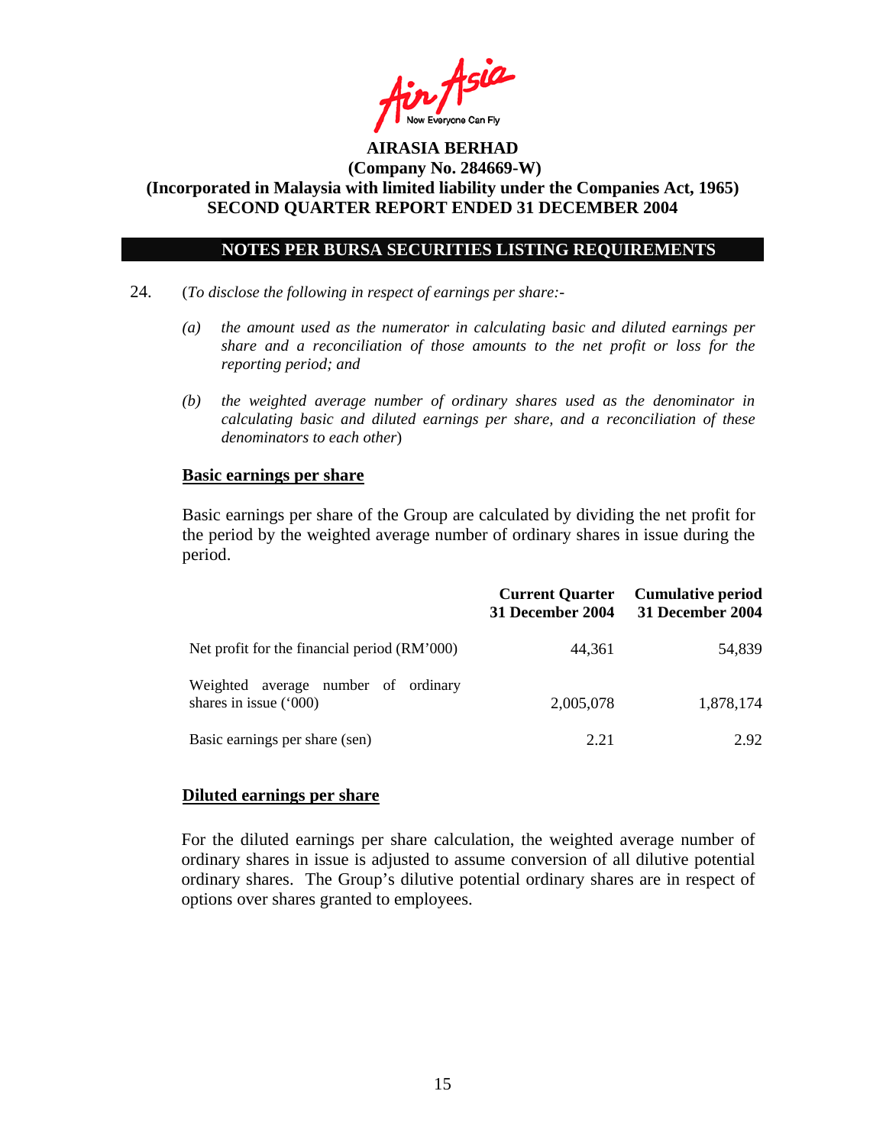

#### **NOTES PER BURSA SECURITIES LISTING REQUIREMENTS**

- 24. (*To disclose the following in respect of earnings per share:-* 
	- *(a) the amount used as the numerator in calculating basic and diluted earnings per share and a reconciliation of those amounts to the net profit or loss for the reporting period; and*
	- *(b) the weighted average number of ordinary shares used as the denominator in calculating basic and diluted earnings per share, and a reconciliation of these denominators to each other*)

#### **Basic earnings per share**

 Basic earnings per share of the Group are calculated by dividing the net profit for the period by the weighted average number of ordinary shares in issue during the period.

|                                                                | <b>Current Quarter</b><br>31 December 2004 | <b>Cumulative period</b><br>31 December 2004 |
|----------------------------------------------------------------|--------------------------------------------|----------------------------------------------|
| Net profit for the financial period (RM'000)                   | 44.361                                     | 54,839                                       |
| Weighted average number of ordinary<br>shares in issue $(500)$ | 2,005,078                                  | 1,878,174                                    |
| Basic earnings per share (sen)                                 | 2.21                                       | 2.92                                         |

#### **Diluted earnings per share**

For the diluted earnings per share calculation, the weighted average number of ordinary shares in issue is adjusted to assume conversion of all dilutive potential ordinary shares. The Group's dilutive potential ordinary shares are in respect of options over shares granted to employees.